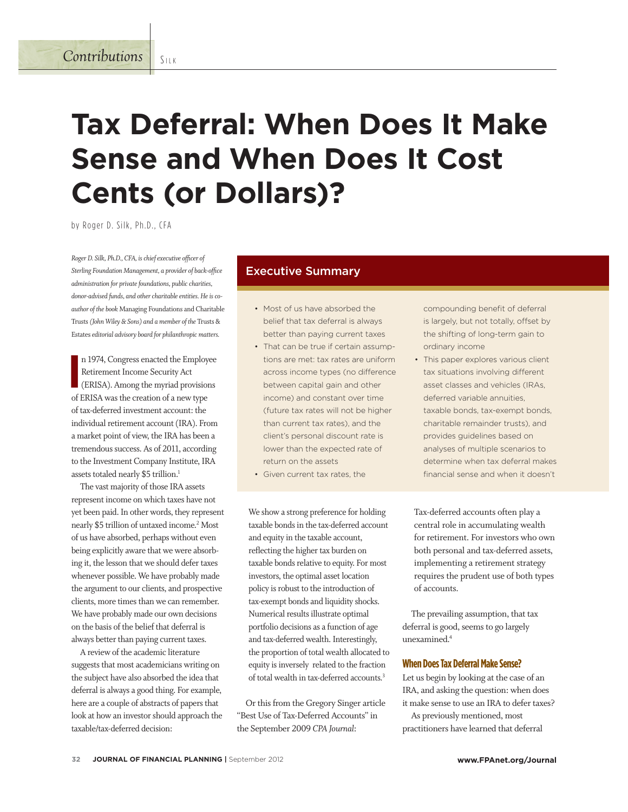# **Tax Deferral: When Does It Make Sense and When Does It Cost Cents (or Dollars)?**

by Roger D. Silk, Ph.D., CFA

*Roger D. Silk, Ph.D., CFA, is chief executive officer of Sterling Foundation Management, a provider of back-o!ce administration for private foundations, public charities, donor-advised funds, and other charitable entities. He is coauthor of the book* Managing Foundations and Charitable Trusts *(John Wiley & Sons) and a member of the* Trusts & Estates *editorial advisory board for philanthropic matters.* 

**I** n 1974, Congress enacted the Employee Retirement Income Security Act (ERISA). Among the myriad provisions of ERISA was the creation of a new type of tax-deferred investment account: the individual retirement account (IRA). From a market point of view, the IRA has been a tremendous success. As of 2011, according to the Investment Company Institute, IRA assets totaled nearly \$5 trillion.<sup>1</sup>

The vast majority of those IRA assets represent income on which taxes have not yet been paid. In other words, they represent nearly \$5 trillion of untaxed income.2 Most of us have absorbed, perhaps without even being explicitly aware that we were absorbing it, the lesson that we should defer taxes whenever possible. We have probably made the argument to our clients, and prospective clients, more times than we can remember. We have probably made our own decisions on the basis of the belief that deferral is always better than paying current taxes.

A review of the academic literature suggests that most academicians writing on the subject have also absorbed the idea that deferral is always a good thing. For example, here are a couple of abstracts of papers that look at how an investor should approach the taxable/tax-deferred decision:

# Executive Summary

- Most of us have absorbed the belief that tax deferral is always better than paying current taxes
- That can be true if certain assumptions are met: tax rates are uniform across income types (no difference between capital gain and other income) and constant over time (future tax rates will not be higher than current tax rates), and the client's personal discount rate is lower than the expected rate of return on the assets
- Given current tax rates, the

We show a strong preference for holding taxable bonds in the tax-deferred account and equity in the taxable account, reflecting the higher tax burden on taxable bonds relative to equity. For most investors, the optimal asset location policy is robust to the introduction of tax-exempt bonds and liquidity shocks. Numerical results illustrate optimal portfolio decisions as a function of age and tax-deferred wealth. Interestingly, the proportion of total wealth allocated to equity is inversely related to the fraction of total wealth in tax-deferred accounts.<sup>3</sup>

Or this from the Gregory Singer article "Best Use of Tax-Deferred Accounts" in the September 2009 *CPA Journal*:

compounding benefit of deferral is largely, but not totally, offset by the shifting of long-term gain to ordinary income

This paper explores various client tax situations involving different asset classes and vehicles (IRAs, deferred variable annuities, taxable bonds, tax-exempt bonds, charitable remainder trusts), and provides guidelines based on analyses of multiple scenarios to determine when tax deferral makes financial sense and when it doesn't

Tax-deferred accounts often play a central role in accumulating wealth for retirement. For investors who own both personal and tax-deferred assets, implementing a retirement strategy requires the prudent use of both types of accounts.

The prevailing assumption, that tax deferral is good, seems to go largely unexamined.4

#### **When Does Tax Deferral Make Sense?**

Let us begin by looking at the case of an IRA, and asking the question: when does it make sense to use an IRA to defer taxes?

As previously mentioned, most practitioners have learned that deferral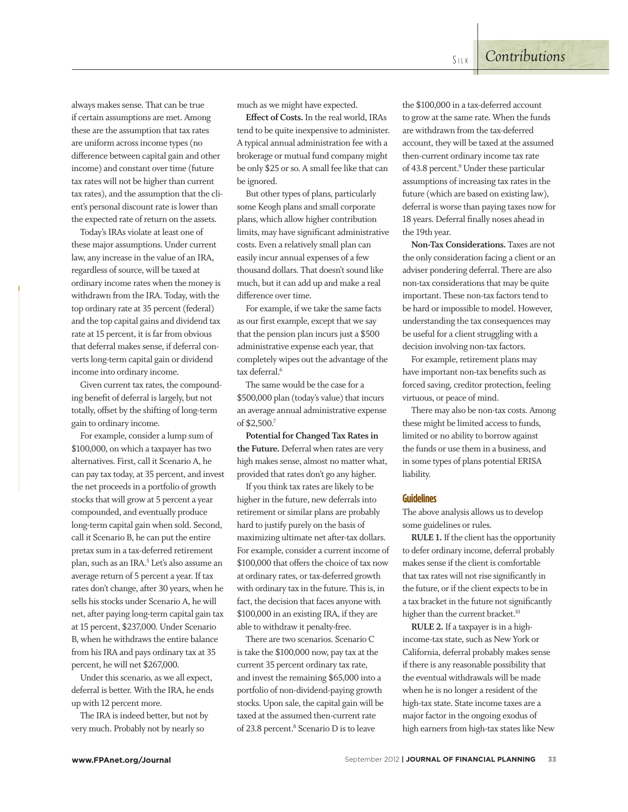always makes sense. That can be true if certain assumptions are met. Among these are the assumption that tax rates are uniform across income types (no difference between capital gain and other income) and constant over time (future tax rates will not be higher than current tax rates), and the assumption that the client's personal discount rate is lower than the expected rate of return on the assets.

Today's IRAs violate at least one of these major assumptions. Under current law, any increase in the value of an IRA, regardless of source, will be taxed at ordinary income rates when the money is withdrawn from the IRA. Today, with the top ordinary rate at 35 percent (federal) and the top capital gains and dividend tax rate at 15 percent, it is far from obvious that deferral makes sense, if deferral converts long-term capital gain or dividend income into ordinary income.

Given current tax rates, the compounding benefit of deferral is largely, but not totally, offset by the shifting of long-term gain to ordinary income.

For example, consider a lump sum of \$100,000, on which a taxpayer has two alternatives. First, call it Scenario A, he can pay tax today, at 35 percent, and invest the net proceeds in a portfolio of growth stocks that will grow at 5 percent a year compounded, and eventually produce long-term capital gain when sold. Second, call it Scenario B, he can put the entire pretax sum in a tax-deferred retirement plan, such as an IRA.<sup>5</sup> Let's also assume an average return of 5 percent a year. If tax rates don't change, after 30 years, when he sells his stocks under Scenario A, he will net, after paying long-term capital gain tax at 15 percent, \$237,000. Under Scenario B, when he withdraws the entire balance from his IRA and pays ordinary tax at 35 percent, he will net \$267,000.

Under this scenario, as we all expect, deferral is better. With the IRA, he ends up with 12 percent more.

The IRA is indeed better, but not by very much. Probably not by nearly so

much as we might have expected.

**E!ect of Costs.** In the real world, IRAs tend to be quite inexpensive to administer. A typical annual administration fee with a brokerage or mutual fund company might be only \$25 or so. A small fee like that can be ignored.

But other types of plans, particularly some Keogh plans and small corporate plans, which allow higher contribution limits, may have significant administrative costs. Even a relatively small plan can easily incur annual expenses of a few thousand dollars. That doesn't sound like much, but it can add up and make a real difference over time.

For example, if we take the same facts as our first example, except that we say that the pension plan incurs just a \$500 administrative expense each year, that completely wipes out the advantage of the tax deferral.<sup>6</sup>

The same would be the case for a \$500,000 plan (today's value) that incurs an average annual administrative expense of \$2,500.7

**Potential for Changed Tax Rates in the Future.** Deferral when rates are very high makes sense, almost no matter what, provided that rates don't go any higher.

If you think tax rates are likely to be higher in the future, new deferrals into retirement or similar plans are probably hard to justify purely on the basis of maximizing ultimate net after-tax dollars. For example, consider a current income of \$100,000 that offers the choice of tax now at ordinary rates, or tax-deferred growth with ordinary tax in the future. This is, in fact, the decision that faces anyone with \$100,000 in an existing IRA, if they are able to withdraw it penalty-free.

There are two scenarios. Scenario C is take the \$100,000 now, pay tax at the current 35 percent ordinary tax rate, and invest the remaining \$65,000 into a portfolio of non-dividend-paying growth stocks. Upon sale, the capital gain will be taxed at the assumed then-current rate of 23.8 percent.<sup>8</sup> Scenario D is to leave

the \$100,000 in a tax-deferred account to grow at the same rate. When the funds are withdrawn from the tax-deferred account, they will be taxed at the assumed then-current ordinary income tax rate of 43.8 percent.<sup>9</sup> Under these particular assumptions of increasing tax rates in the future (which are based on existing law), deferral is worse than paying taxes now for 18 years. Deferral finally noses ahead in the 19th year.

**Non-Tax Considerations.** Taxes are not the only consideration facing a client or an adviser pondering deferral. There are also non-tax considerations that may be quite important. These non-tax factors tend to be hard or impossible to model. However, understanding the tax consequences may be useful for a client struggling with a decision involving non-tax factors.

For example, retirement plans may have important non-tax benefits such as forced saving, creditor protection, feeling virtuous, or peace of mind.

There may also be non-tax costs. Among these might be limited access to funds, limited or no ability to borrow against the funds or use them in a business, and in some types of plans potential ERISA liability.

#### **Guidelines**

The above analysis allows us to develop some guidelines or rules.

**RULE 1.** If the client has the opportunity to defer ordinary income, deferral probably makes sense if the client is comfortable that tax rates will not rise significantly in the future, or if the client expects to be in a tax bracket in the future not significantly higher than the current bracket.<sup>10</sup>

**RULE 2.** If a taxpayer is in a highincome-tax state, such as New York or California, deferral probably makes sense if there is any reasonable possibility that the eventual withdrawals will be made when he is no longer a resident of the high-tax state. State income taxes are a major factor in the ongoing exodus of high earners from high-tax states like New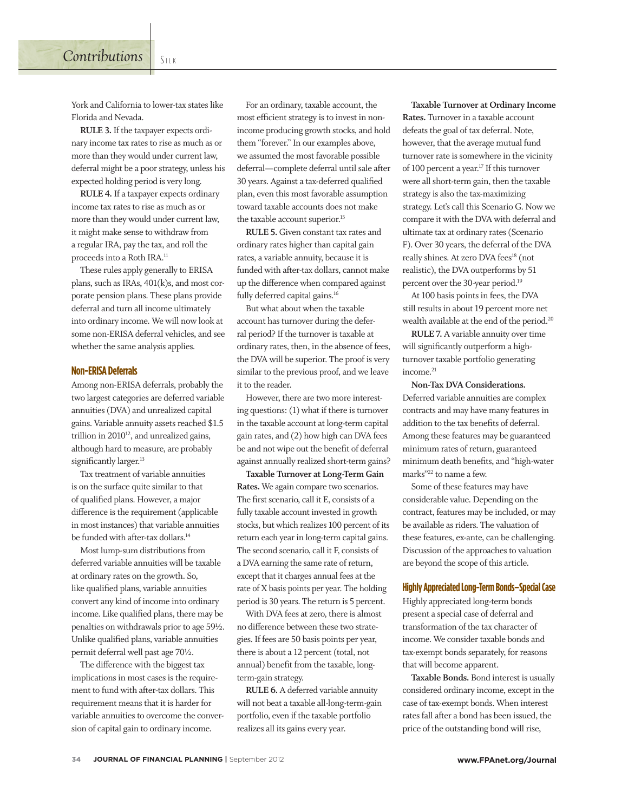is on the surface quite similar to that of qualified plans. However, a major difference is the requirement (applicable in most instances) that variable annuities be funded with after-tax dollars.<sup>14</sup>

Tax treatment of variable annuities

Most lump-sum distributions from deferred variable annuities will be taxable at ordinary rates on the growth. So, like qualified plans, variable annuities convert any kind of income into ordinary income. Like qualified plans, there may be penalties on withdrawals prior to age 59½. Unlike qualified plans, variable annuities permit deferral well past age 70½.

The difference with the biggest tax implications in most cases is the requirement to fund with after-tax dollars. This requirement means that it is harder for variable annuities to overcome the conversion of capital gain to ordinary income.

For an ordinary, taxable account, the most efficient strategy is to invest in nonincome producing growth stocks, and hold them "forever." In our examples above, we assumed the most favorable possible deferral—complete deferral until sale after 30 years. Against a tax-deferred qualified plan, even this most favorable assumption toward taxable accounts does not make the taxable account superior.<sup>15</sup>

**RULE 5.** Given constant tax rates and ordinary rates higher than capital gain rates, a variable annuity, because it is funded with after-tax dollars, cannot make up the difference when compared against fully deferred capital gains.<sup>16</sup>

But what about when the taxable account has turnover during the deferral period? If the turnover is taxable at ordinary rates, then, in the absence of fees, the DVA will be superior. The proof is very similar to the previous proof, and we leave it to the reader.

However, there are two more interesting questions: (1) what if there is turnover in the taxable account at long-term capital gain rates, and (2) how high can DVA fees be and not wipe out the benefit of deferral against annually realized short-term gains?

**Taxable Turnover at Long-Term Gain Rates.** We again compare two scenarios. The first scenario, call it E, consists of a fully taxable account invested in growth stocks, but which realizes 100 percent of its return each year in long-term capital gains. The second scenario, call it F, consists of a DVA earning the same rate of return, except that it charges annual fees at the rate of X basis points per year. The holding period is 30 years. The return is 5 percent.

With DVA fees at zero, there is almost no difference between these two strategies. If fees are 50 basis points per year, there is about a 12 percent (total, not annual) benefit from the taxable, longterm-gain strategy.

**RULE 6.** A deferred variable annuity will not beat a taxable all-long-term-gain portfolio, even if the taxable portfolio realizes all its gains every year.

**Taxable Turnover at Ordinary Income Rates.** Turnover in a taxable account defeats the goal of tax deferral. Note, however, that the average mutual fund turnover rate is somewhere in the vicinity of 100 percent a year.17 If this turnover were all short-term gain, then the taxable strategy is also the tax-maximizing strategy. Let's call this Scenario G. Now we compare it with the DVA with deferral and ultimate tax at ordinary rates (Scenario F). Over 30 years, the deferral of the DVA really shines. At zero DVA fees<sup>18</sup> (not realistic), the DVA outperforms by 51 percent over the 30-year period.19

At 100 basis points in fees, the DVA still results in about 19 percent more net wealth available at the end of the period.<sup>20</sup>

**RULE 7.** A variable annuity over time will significantly outperform a highturnover taxable portfolio generating income.<sup>21</sup>

**Non-Tax DVA Considerations.** Deferred variable annuities are complex contracts and may have many features in addition to the tax benefits of deferral. Among these features may be guaranteed minimum rates of return, guaranteed minimum death benefits, and "high-water marks"22 to name a few.

Some of these features may have considerable value. Depending on the contract, features may be included, or may be available as riders. The valuation of these features, ex-ante, can be challenging. Discussion of the approaches to valuation are beyond the scope of this article.

## **Highly Appreciated Long-Term Bonds–Special Case**

Highly appreciated long-term bonds present a special case of deferral and transformation of the tax character of income. We consider taxable bonds and tax-exempt bonds separately, for reasons that will become apparent.

**Taxable Bonds.** Bond interest is usually considered ordinary income, except in the case of tax-exempt bonds. When interest rates fall after a bond has been issued, the price of the outstanding bond will rise,

York and California to lower-tax states like Florida and Nevada.

**RULE 3.** If the taxpayer expects ordinary income tax rates to rise as much as or more than they would under current law, deferral might be a poor strategy, unless his expected holding period is very long.

**RULE 4.** If a taxpayer expects ordinary income tax rates to rise as much as or more than they would under current law, it might make sense to withdraw from a regular IRA, pay the tax, and roll the proceeds into a Roth IRA.11

These rules apply generally to ERISA plans, such as IRAs, 401(k)s, and most corporate pension plans. These plans provide deferral and turn all income ultimately into ordinary income. We will now look at some non-ERISA deferral vehicles, and see whether the same analysis applies.

# **Non-ERISA Deferrals**

Among non-ERISA deferrals, probably the two largest categories are deferred variable annuities (DVA) and unrealized capital gains. Variable annuity assets reached \$1.5 trillion in  $2010^{12}$ , and unrealized gains, although hard to measure, are probably significantly larger.<sup>13</sup>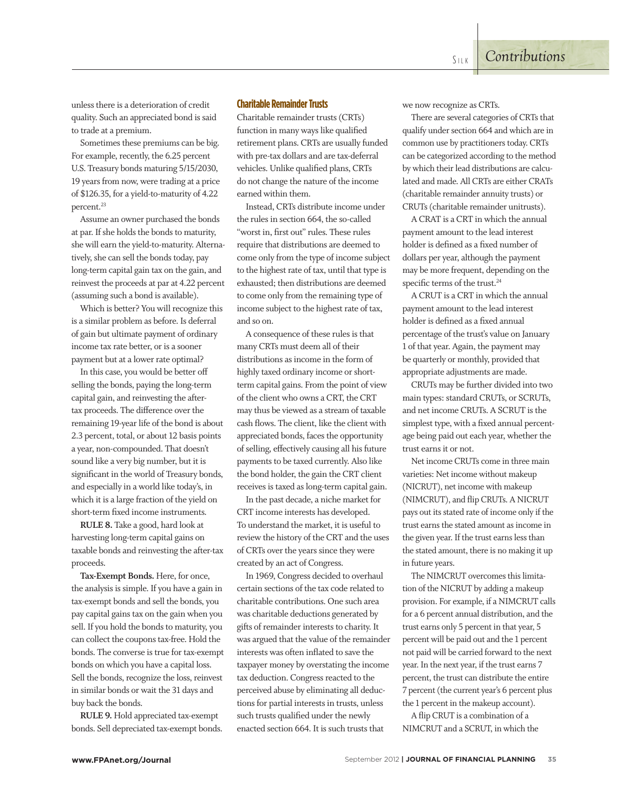unless there is a deterioration of credit quality. Such an appreciated bond is said to trade at a premium.

Sometimes these premiums can be big. For example, recently, the 6.25 percent U.S. Treasury bonds maturing 5/15/2030, 19 years from now, were trading at a price of \$126.35, for a yield-to-maturity of 4.22 percent.<sup>23</sup>

Assume an owner purchased the bonds at par. If she holds the bonds to maturity, she will earn the yield-to-maturity. Alternatively, she can sell the bonds today, pay long-term capital gain tax on the gain, and reinvest the proceeds at par at 4.22 percent (assuming such a bond is available).

Which is better? You will recognize this is a similar problem as before. Is deferral of gain but ultimate payment of ordinary income tax rate better, or is a sooner payment but at a lower rate optimal?

In this case, you would be better off selling the bonds, paying the long-term capital gain, and reinvesting the aftertax proceeds. The difference over the remaining 19-year life of the bond is about 2.3 percent, total, or about 12 basis points a year, non-compounded. That doesn't sound like a very big number, but it is significant in the world of Treasury bonds, and especially in a world like today's, in which it is a large fraction of the yield on short-term fixed income instruments.

**RULE 8.** Take a good, hard look at harvesting long-term capital gains on taxable bonds and reinvesting the after-tax proceeds.

**Tax-Exempt Bonds.** Here, for once, the analysis is simple. If you have a gain in tax-exempt bonds and sell the bonds, you pay capital gains tax on the gain when you sell. If you hold the bonds to maturity, you can collect the coupons tax-free. Hold the bonds. The converse is true for tax-exempt bonds on which you have a capital loss. Sell the bonds, recognize the loss, reinvest in similar bonds or wait the 31 days and buy back the bonds.

**RULE 9.** Hold appreciated tax-exempt bonds. Sell depreciated tax-exempt bonds.

## **Charitable Remainder Trusts**

Charitable remainder trusts (CRTs) function in many ways like qualified retirement plans. CRTs are usually funded with pre-tax dollars and are tax-deferral vehicles. Unlike qualified plans, CRTs do not change the nature of the income earned within them.

Instead, CRTs distribute income under the rules in section 664, the so-called "worst in, first out" rules. These rules require that distributions are deemed to come only from the type of income subject to the highest rate of tax, until that type is exhausted; then distributions are deemed to come only from the remaining type of income subject to the highest rate of tax, and so on.

A consequence of these rules is that many CRTs must deem all of their distributions as income in the form of highly taxed ordinary income or shortterm capital gains. From the point of view of the client who owns a CRT, the CRT may thus be viewed as a stream of taxable cash flows. The client, like the client with appreciated bonds, faces the opportunity of selling, effectively causing all his future payments to be taxed currently. Also like the bond holder, the gain the CRT client receives is taxed as long-term capital gain.

In the past decade, a niche market for CRT income interests has developed. To understand the market, it is useful to review the history of the CRT and the uses of CRTs over the years since they were created by an act of Congress.

In 1969, Congress decided to overhaul certain sections of the tax code related to charitable contributions. One such area was charitable deductions generated by gifts of remainder interests to charity. It was argued that the value of the remainder interests was often inflated to save the taxpayer money by overstating the income tax deduction. Congress reacted to the perceived abuse by eliminating all deductions for partial interests in trusts, unless such trusts qualified under the newly enacted section 664. It is such trusts that

we now recognize as CRTs.

There are several categories of CRTs that qualify under section 664 and which are in common use by practitioners today. CRTs can be categorized according to the method by which their lead distributions are calculated and made. All CRTs are either CRATs (charitable remainder annuity trusts) or CRUTs (charitable remainder unitrusts).

A CRAT is a CRT in which the annual payment amount to the lead interest holder is defined as a fixed number of dollars per year, although the payment may be more frequent, depending on the specific terms of the trust.<sup>24</sup>

A CRUT is a CRT in which the annual payment amount to the lead interest holder is defined as a fixed annual percentage of the trust's value on January 1 of that year. Again, the payment may be quarterly or monthly, provided that appropriate adjustments are made.

CRUTs may be further divided into two main types: standard CRUTs, or SCRUTs, and net income CRUTs. A SCRUT is the simplest type, with a fixed annual percentage being paid out each year, whether the trust earns it or not.

Net income CRUTs come in three main varieties: Net income without makeup (NICRUT), net income with makeup (NIMCRUT), and flip CRUTs. A NICRUT pays out its stated rate of income only if the trust earns the stated amount as income in the given year. If the trust earns less than the stated amount, there is no making it up in future years.

The NIMCRUT overcomes this limitation of the NICRUT by adding a makeup provision. For example, if a NIMCRUT calls for a 6 percent annual distribution, and the trust earns only 5 percent in that year, 5 percent will be paid out and the 1 percent not paid will be carried forward to the next year. In the next year, if the trust earns 7 percent, the trust can distribute the entire 7 percent (the current year's 6 percent plus the 1 percent in the makeup account).

A flip CRUT is a combination of a NIMCRUT and a SCRUT, in which the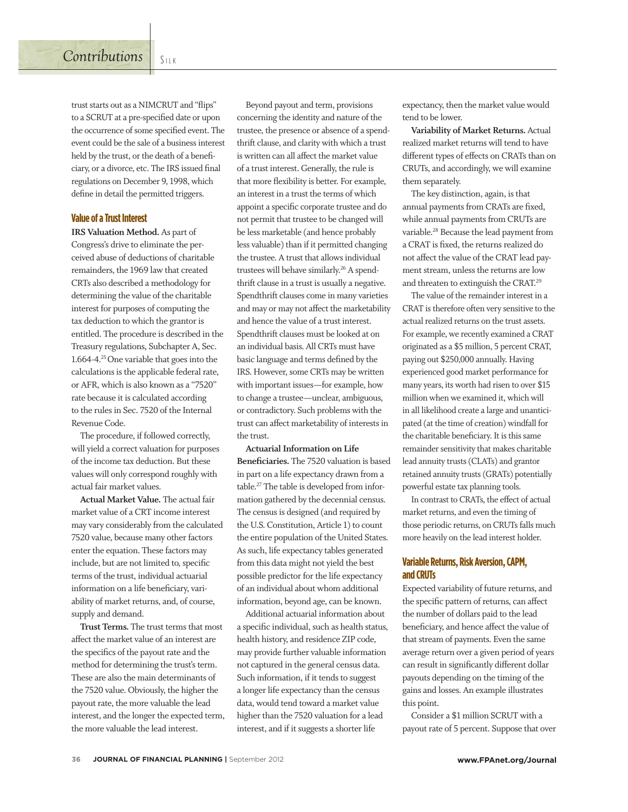trust starts out as a NIMCRUT and "flips" to a SCRUT at a pre-specified date or upon the occurrence of some specified event. The event could be the sale of a business interest held by the trust, or the death of a beneficiary, or a divorce, etc. The IRS issued final regulations on December 9, 1998, which define in detail the permitted triggers.

#### **Value of a Trust Interest**

**IRS Valuation Method.** As part of Congress's drive to eliminate the perceived abuse of deductions of charitable remainders, the 1969 law that created CRTs also described a methodology for determining the value of the charitable interest for purposes of computing the tax deduction to which the grantor is entitled. The procedure is described in the Treasury regulations, Subchapter A, Sec. 1.664-4.<sup>25</sup> One variable that goes into the calculations is the applicable federal rate, or AFR, which is also known as a "7520" rate because it is calculated according to the rules in Sec. 7520 of the Internal Revenue Code.

The procedure, if followed correctly, will yield a correct valuation for purposes of the income tax deduction. But these values will only correspond roughly with actual fair market values.

**Actual Market Value.** The actual fair market value of a CRT income interest may vary considerably from the calculated 7520 value, because many other factors enter the equation. These factors may include, but are not limited to, specific terms of the trust, individual actuarial information on a life beneficiary, variability of market returns, and, of course, supply and demand.

**Trust Terms.** The trust terms that most affect the market value of an interest are the specifics of the payout rate and the method for determining the trust's term. These are also the main determinants of the 7520 value. Obviously, the higher the payout rate, the more valuable the lead interest, and the longer the expected term, the more valuable the lead interest.

Beyond payout and term, provisions concerning the identity and nature of the trustee, the presence or absence of a spendthrift clause, and clarity with which a trust is written can all affect the market value of a trust interest. Generally, the rule is that more flexibility is better. For example, an interest in a trust the terms of which appoint a specific corporate trustee and do not permit that trustee to be changed will be less marketable (and hence probably less valuable) than if it permitted changing the trustee. A trust that allows individual trustees will behave similarly.26 A spendthrift clause in a trust is usually a negative. Spendthrift clauses come in many varieties and may or may not affect the marketability and hence the value of a trust interest. Spendthrift clauses must be looked at on an individual basis. All CRTs must have basic language and terms defined by the IRS. However, some CRTs may be written with important issues—for example, how to change a trustee—unclear, ambiguous, or contradictory. Such problems with the trust can affect marketability of interests in the trust.

**Actuarial Information on Life Beneficiaries.** The 7520 valuation is based in part on a life expectancy drawn from a table.27 The table is developed from information gathered by the decennial census. The census is designed (and required by the U.S. Constitution, Article 1) to count the entire population of the United States. As such, life expectancy tables generated from this data might not yield the best possible predictor for the life expectancy of an individual about whom additional information, beyond age, can be known.

Additional actuarial information about a specific individual, such as health status, health history, and residence ZIP code, may provide further valuable information not captured in the general census data. Such information, if it tends to suggest a longer life expectancy than the census data, would tend toward a market value higher than the 7520 valuation for a lead interest, and if it suggests a shorter life

expectancy, then the market value would tend to be lower.

**Variability of Market Returns.** Actual realized market returns will tend to have different types of effects on CRATs than on CRUTs, and accordingly, we will examine them separately.

The key distinction, again, is that annual payments from CRATs are fixed, while annual payments from CRUTs are variable.28 Because the lead payment from a CRAT is fixed, the returns realized do not affect the value of the CRAT lead payment stream, unless the returns are low and threaten to extinguish the CRAT.29

The value of the remainder interest in a CRAT is therefore often very sensitive to the actual realized returns on the trust assets. For example, we recently examined a CRAT originated as a \$5 million, 5 percent CRAT, paying out \$250,000 annually. Having experienced good market performance for many years, its worth had risen to over \$15 million when we examined it, which will in all likelihood create a large and unanticipated (at the time of creation) windfall for the charitable beneficiary. It is this same remainder sensitivity that makes charitable lead annuity trusts (CLATs) and grantor retained annuity trusts (GRATs) potentially powerful estate tax planning tools.

In contrast to CRATs, the effect of actual market returns, and even the timing of those periodic returns, on CRUTs falls much more heavily on the lead interest holder.

### **Variable Returns, Risk Aversion, CAPM, and CRUTs**

Expected variability of future returns, and the specific pattern of returns, can affect the number of dollars paid to the lead beneficiary, and hence affect the value of that stream of payments. Even the same average return over a given period of years can result in significantly different dollar payouts depending on the timing of the gains and losses. An example illustrates this point.

Consider a \$1 million SCRUT with a payout rate of 5 percent. Suppose that over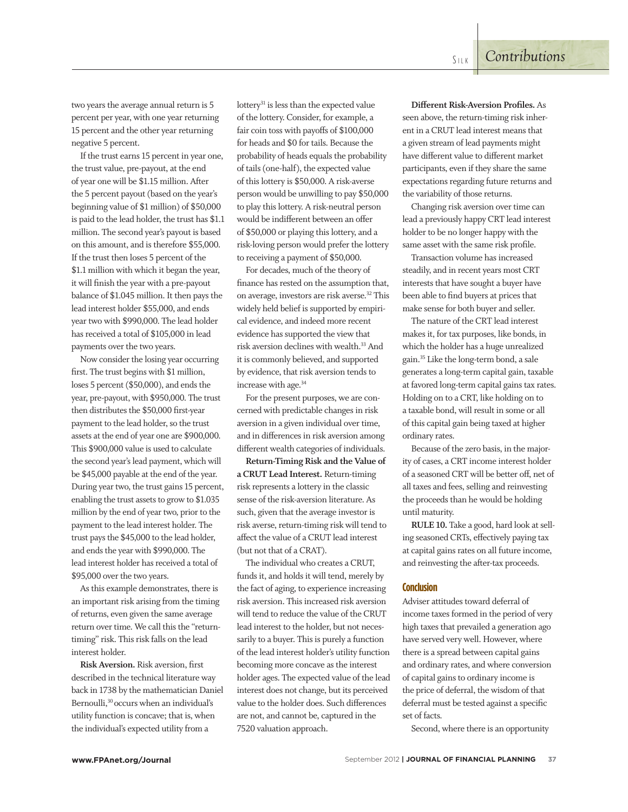two years the average annual return is 5 percent per year, with one year returning 15 percent and the other year returning negative 5 percent.

If the trust earns 15 percent in year one, the trust value, pre-payout, at the end of year one will be \$1.15 million. After the 5 percent payout (based on the year's beginning value of \$1 million) of \$50,000 is paid to the lead holder, the trust has \$1.1 million. The second year's payout is based on this amount, and is therefore \$55,000. If the trust then loses 5 percent of the \$1.1 million with which it began the year, it will finish the year with a pre-payout balance of \$1.045 million. It then pays the lead interest holder \$55,000, and ends year two with \$990,000. The lead holder has received a total of \$105,000 in lead payments over the two years.

Now consider the losing year occurring first. The trust begins with \$1 million, loses 5 percent (\$50,000), and ends the year, pre-payout, with \$950,000. The trust then distributes the \$50,000 first-year payment to the lead holder, so the trust assets at the end of year one are \$900,000. This \$900,000 value is used to calculate the second year's lead payment, which will be \$45,000 payable at the end of the year. During year two, the trust gains 15 percent, enabling the trust assets to grow to \$1.035 million by the end of year two, prior to the payment to the lead interest holder. The trust pays the \$45,000 to the lead holder, and ends the year with \$990,000. The lead interest holder has received a total of \$95,000 over the two years.

As this example demonstrates, there is an important risk arising from the timing of returns, even given the same average return over time. We call this the "returntiming" risk. This risk falls on the lead interest holder.

**Risk Aversion.** Risk aversion, first described in the technical literature way back in 1738 by the mathematician Daniel Bernoulli,<sup>30</sup> occurs when an individual's utility function is concave; that is, when the individual's expected utility from a

lottery<sup>31</sup> is less than the expected value of the lottery. Consider, for example, a fair coin toss with payoffs of \$100,000 for heads and \$0 for tails. Because the probability of heads equals the probability of tails (one-half), the expected value of this lottery is \$50,000. A risk-averse person would be unwilling to pay \$50,000 to play this lottery. A risk-neutral person would be indifferent between an offer of \$50,000 or playing this lottery, and a risk-loving person would prefer the lottery to receiving a payment of \$50,000.

For decades, much of the theory of finance has rested on the assumption that, on average, investors are risk averse.32 This widely held belief is supported by empirical evidence, and indeed more recent evidence has supported the view that risk aversion declines with wealth.33 And it is commonly believed, and supported by evidence, that risk aversion tends to increase with age.34

For the present purposes, we are concerned with predictable changes in risk aversion in a given individual over time, and in differences in risk aversion among different wealth categories of individuals.

**Return-Timing Risk and the Value of a CRUT Lead Interest.** Return-timing risk represents a lottery in the classic sense of the risk-aversion literature. As such, given that the average investor is risk averse, return-timing risk will tend to affect the value of a CRUT lead interest (but not that of a CRAT).

The individual who creates a CRUT, funds it, and holds it will tend, merely by the fact of aging, to experience increasing risk aversion. This increased risk aversion will tend to reduce the value of the CRUT lead interest to the holder, but not necessarily to a buyer. This is purely a function of the lead interest holder's utility function becoming more concave as the interest holder ages. The expected value of the lead interest does not change, but its perceived value to the holder does. Such differences are not, and cannot be, captured in the 7520 valuation approach.

**Di!erent Risk-Aversion Profiles.** As seen above, the return-timing risk inherent in a CRUT lead interest means that a given stream of lead payments might have different value to different market participants, even if they share the same expectations regarding future returns and the variability of those returns.

Changing risk aversion over time can lead a previously happy CRT lead interest holder to be no longer happy with the same asset with the same risk profile.

Transaction volume has increased steadily, and in recent years most CRT interests that have sought a buyer have been able to find buyers at prices that make sense for both buyer and seller.

The nature of the CRT lead interest makes it, for tax purposes, like bonds, in which the holder has a huge unrealized gain.35 Like the long-term bond, a sale generates a long-term capital gain, taxable at favored long-term capital gains tax rates. Holding on to a CRT, like holding on to a taxable bond, will result in some or all of this capital gain being taxed at higher ordinary rates.

Because of the zero basis, in the majority of cases, a CRT income interest holder of a seasoned CRT will be better off, net of all taxes and fees, selling and reinvesting the proceeds than he would be holding until maturity.

**RULE 10.** Take a good, hard look at selling seasoned CRTs, effectively paying tax at capital gains rates on all future income, and reinvesting the after-tax proceeds.

#### **Conclusion**

Adviser attitudes toward deferral of income taxes formed in the period of very high taxes that prevailed a generation ago have served very well. However, where there is a spread between capital gains and ordinary rates, and where conversion of capital gains to ordinary income is the price of deferral, the wisdom of that deferral must be tested against a specific set of facts.

Second, where there is an opportunity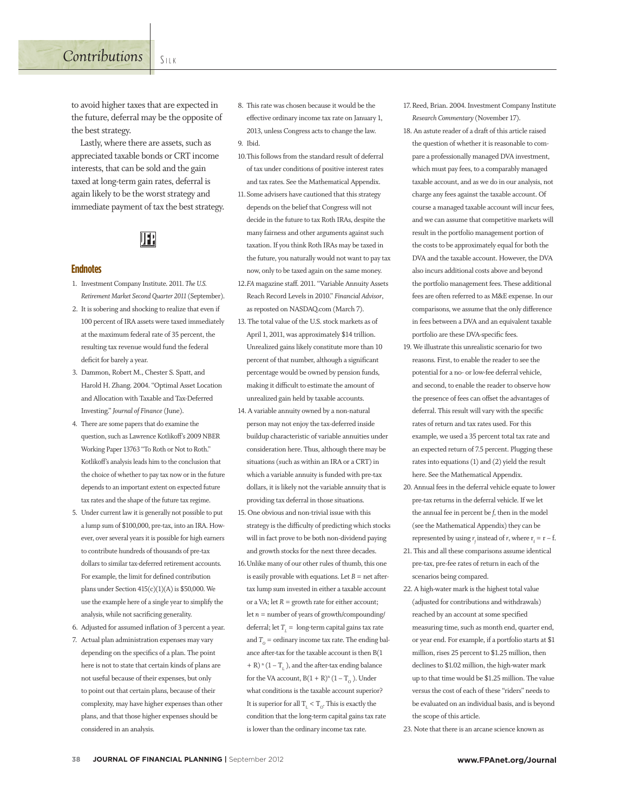# *Contributions* SILK

to avoid higher taxes that are expected in the future, deferral may be the opposite of the best strategy.

Lastly, where there are assets, such as appreciated taxable bonds or CRT income interests, that can be sold and the gain taxed at long-term gain rates, deferral is again likely to be the worst strategy and immediate payment of tax the best strategy.

# 92

#### **Endnotes**

- 1. Investment Company Institute. 2011. *The U.S. Retirement Market Second Quarter 2011* (September).
- 2. It is sobering and shocking to realize that even if 100 percent of IRA assets were taxed immediately at the maximum federal rate of 35 percent, the resulting tax revenue would fund the federal deficit for barely a year.
- 3. Dammon, Robert M., Chester S. Spatt, and Harold H. Zhang. 2004. "Optimal Asset Location and Allocation with Taxable and Tax-Deferred Investing." *Journal of Finance* (June).
- 4. There are some papers that do examine the question, such as Lawrence Kotlikoff's 2009 NBER Working Paper 13763 "To Roth or Not to Roth." Kotlikoff's analysis leads him to the conclusion that the choice of whether to pay tax now or in the future depends to an important extent on expected future tax rates and the shape of the future tax regime.
- 5. Under current law it is generally not possible to put a lump sum of \$100,000, pre-tax, into an IRA. However, over several years it is possible for high earners to contribute hundreds of thousands of pre-tax dollars to similar tax-deferred retirement accounts. For example, the limit for defined contribution plans under Section 415(c)(1)(A) is \$50,000. We use the example here of a single year to simplify the analysis, while not sacrificing generality.
- 6. Adjusted for assumed inflation of 3 percent a year.
- 7. Actual plan administration expenses may vary depending on the specifics of a plan. The point here is not to state that certain kinds of plans are not useful because of their expenses, but only to point out that certain plans, because of their complexity, may have higher expenses than other plans, and that those higher expenses should be considered in an analysis.
- 8. This rate was chosen because it would be the effective ordinary income tax rate on January 1, 2013, unless Congress acts to change the law. 9. Ibid.
- 10.This follows from the standard result of deferral of tax under conditions of positive interest rates and tax rates. See the Mathematical Appendix.
- 11.Some advisers have cautioned that this strategy depends on the belief that Congress will not decide in the future to tax Roth IRAs, despite the many fairness and other arguments against such taxation. If you think Roth IRAs may be taxed in the future, you naturally would not want to pay tax now, only to be taxed again on the same money.
- 12.FA magazine staff. 2011. "Variable Annuity Assets Reach Record Levels in 2010." *Financial Advisor*, as reposted on NASDAQ.com (March 7).
- 13. The total value of the U.S. stock markets as of April 1, 2011, was approximately \$14 trillion. Unrealized gains likely constitute more than 10 percent of that number, although a significant percentage would be owned by pension funds, making it difficult to estimate the amount of unrealized gain held by taxable accounts.
- 14. A variable annuity owned by a non-natural person may not enjoy the tax-deferred inside buildup characteristic of variable annuities under consideration here. Thus, although there may be situations (such as within an IRA or a CRT) in which a variable annuity is funded with pre-tax dollars, it is likely not the variable annuity that is providing tax deferral in those situations.
- 15. One obvious and non-trivial issue with this strategy is the difficulty of predicting which stocks will in fact prove to be both non-dividend paying and growth stocks for the next three decades.
- 16.Unlike many of our other rules of thumb, this one is easily provable with equations. Let  $B =$  net aftertax lump sum invested in either a taxable account or a VA; let *R* = growth rate for either account; let *n* = number of years of growth/compounding/ deferral; let  $T_{L}$  = long-term capital gains tax rate and  $T_{\text{o}}$  = ordinary income tax rate. The ending balance after-tax for the taxable account is then B(1  $+$  R)  $\mathrm{^{n}}\left( 1-\mathrm{T}_{\mathrm{L}}\right) ,$  and the after-tax ending balance for the VA account,  $B(1 + R)^n (1 - T_0)$ . Under what conditions is the taxable account superior? It is superior for all  $\rm T_L$   $\rm < T_O.$  This is exactly the condition that the long-term capital gains tax rate is lower than the ordinary income tax rate.
- 17.Reed, Brian. 2004. Investment Company Institute *Research Commentary* (November 17).
- 18. An astute reader of a draft of this article raised the question of whether it is reasonable to compare a professionally managed DVA investment, which must pay fees, to a comparably managed taxable account, and as we do in our analysis, not charge any fees against the taxable account. Of course a managed taxable account will incur fees, and we can assume that competitive markets will result in the portfolio management portion of the costs to be approximately equal for both the DVA and the taxable account. However, the DVA also incurs additional costs above and beyond the portfolio management fees. These additional fees are often referred to as M&E expense. In our comparisons, we assume that the only difference in fees between a DVA and an equivalent taxable portfolio are these DVA-specific fees.
- 19. We illustrate this unrealistic scenario for two reasons. First, to enable the reader to see the potential for a no- or low-fee deferral vehicle, and second, to enable the reader to observe how the presence of fees can offset the advantages of deferral. This result will vary with the specific rates of return and tax rates used. For this example, we used a 35 percent total tax rate and an expected return of 7.5 percent. Plugging these rates into equations (1) and (2) yield the result here. See the Mathematical Appendix.
- 20. Annual fees in the deferral vehicle equate to lower pre-tax returns in the deferral vehicle. If we let the annual fee in percent be *f*, then in the model (see the Mathematical Appendix) they can be represented by using  $r_f$  instead of *r*, where  $r_f = r - f$ .
- 21. This and all these comparisons assume identical pre-tax, pre-fee rates of return in each of the scenarios being compared.
- 22. A high-water mark is the highest total value (adjusted for contributions and withdrawals) reached by an account at some specified measuring time, such as month end, quarter end, or year end. For example, if a portfolio starts at \$1 million, rises 25 percent to \$1.25 million, then declines to \$1.02 million, the high-water mark up to that time would be \$1.25 million. The value versus the cost of each of these "riders" needs to be evaluated on an individual basis, and is beyond the scope of this article.
- 23. Note that there is an arcane science known as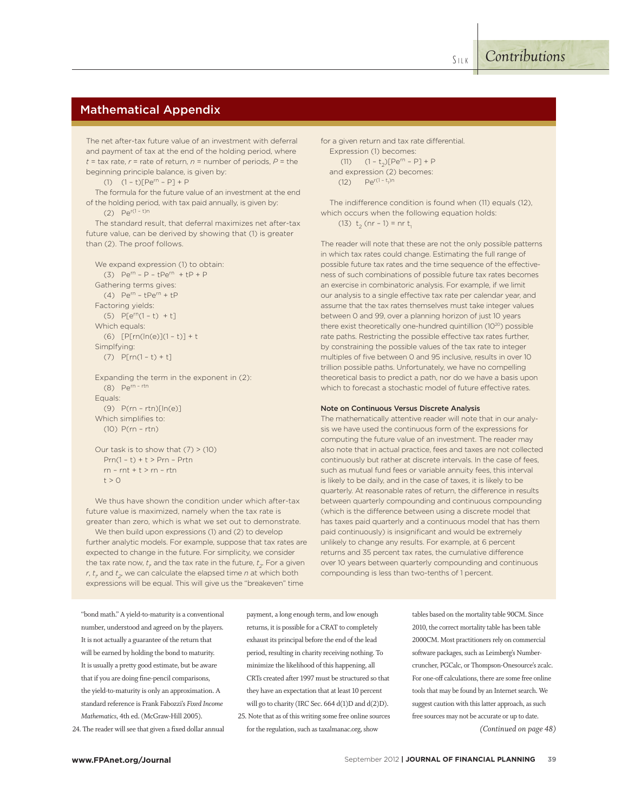# Mathematical Appendix

The net after-tax future value of an investment with deferral and payment of tax at the end of the holding period, where  $t = \tan x$  rate,  $r = \text{rate of return}, n = \text{number of periods}, P = \text{the}$ beginning principle balance, is given by:

(1)  $(1 - t)[Pe^{rn} - P] + P$ 

The formula for the future value of an investment at the end of the holding period, with tax paid annually, is given by: (2)  $Pe^{r(1 - t)n}$ 

The standard result, that deferral maximizes net after-tax future value, can be derived by showing that (1) is greater than (2). The proof follows.

```
We expand expression (1) to obtain:
  (3) Pe^{rn} - P - tPe^{rn} + tP + PGathering terms gives:
  (4) Pe<sup>rn</sup> - tPe<sup>rn</sup> + tP
Factoring yields:
  (5) P[e^{rn}(1-t) + t]Which equals:
  (6) [P[rn(ln(e)](1 - t)] + tSimplfying:
  (7) P[rn(1-t) + t]
```
Expanding the term in the exponent in (2): (8) Pern – rtn Equals: (9) P(rn – rtn)[ln(e)] Which simplifies to: (10) P(rn – rtn)

```
Our task is to show that (7) > (10)Prn(1 - t) + t > Prn - Prtnrn - rnt + t > rn - rtnt > 0
```
We thus have shown the condition under which after-tax future value is maximized, namely when the tax rate is greater than zero, which is what we set out to demonstrate. We then build upon expressions (1) and (2) to develop further analytic models. For example, suppose that tax rates are expected to change in the future. For simplicity, we consider the tax rate now,  $t_{_{p}}$  and the tax rate in the future,  $t_{_{2}}$ . For a given *r, t<sub>r</sub>* and  $t_{2}$ , we can calculate the elapsed time  $n$  at which both expressions will be equal. This will give us the "breakeven" time

for a given return and tax rate differential. Expression (1) becomes: (11)  $(1 - t_2)[Pe^{rn} - P] + P$ and expression (2) becomes:

(12)  $\text{Pe}^{r(1-t_1)n}$ 

The indifference condition is found when (11) equals (12), which occurs when the following equation holds: (13)  $t_2$  (nr – 1) = nr  $t_1$ 

The reader will note that these are not the only possible patterns in which tax rates could change. Estimating the full range of possible future tax rates and the time sequence of the effectiveness of such combinations of possible future tax rates becomes an exercise in combinatoric analysis. For example, if we limit our analysis to a single effective tax rate per calendar year, and assume that the tax rates themselves must take integer values between 0 and 99, over a planning horizon of just 10 years there exist theoretically one-hundred quintillion (10<sup>20</sup>) possible rate paths. Restricting the possible effective tax rates further, by constraining the possible values of the tax rate to integer multiples of five between 0 and 95 inclusive, results in over 10 trillion possible paths. Unfortunately, we have no compelling theoretical basis to predict a path, nor do we have a basis upon which to forecast a stochastic model of future effective rates.

#### Note on Continuous Versus Discrete Analysis

The mathematically attentive reader will note that in our analysis we have used the continuous form of the expressions for computing the future value of an investment. The reader may also note that in actual practice, fees and taxes are not collected continuously but rather at discrete intervals. In the case of fees, such as mutual fund fees or variable annuity fees, this interval is likely to be daily, and in the case of taxes, it is likely to be quarterly. At reasonable rates of return, the difference in results between quarterly compounding and continuous compounding (which is the difference between using a discrete model that has taxes paid quarterly and a continuous model that has them paid continuously) is insignificant and would be extremely unlikely to change any results. For example, at 6 percent returns and 35 percent tax rates, the cumulative difference over 10 years between quarterly compounding and continuous compounding is less than two-tenths of 1 percent.

"bond math." A yield-to-maturity is a conventional number, understood and agreed on by the players. It is not actually a guarantee of the return that will be earned by holding the bond to maturity. It is usually a pretty good estimate, but be aware that if you are doing fine-pencil comparisons, the yield-to-maturity is only an approximation. A standard reference is Frank Fabozzi's *Fixed Income Mathematics*, 4th ed. (McGraw-Hill 2005).

24. The reader will see that given a fixed dollar annual

payment, a long enough term, and low enough returns, it is possible for a CRAT to completely exhaust its principal before the end of the lead period, resulting in charity receiving nothing. To minimize the likelihood of this happening, all CRTs created after 1997 must be structured so that they have an expectation that at least 10 percent will go to charity (IRC Sec. 664 d(1)D and d(2)D). 25. Note that as of this writing some free online sources

for the regulation, such as taxalmanac.org, show

tables based on the mortality table 90CM. Since 2010, the correct mortality table has been table 2000CM. Most practitioners rely on commercial software packages, such as Leimberg's Numbercruncher, PGCalc, or Thompson-Onesource's zcalc. For one-off calculations, there are some free online tools that may be found by an Internet search. We suggest caution with this latter approach, as such free sources may not be accurate or up to date. *(Continued on page 48)*